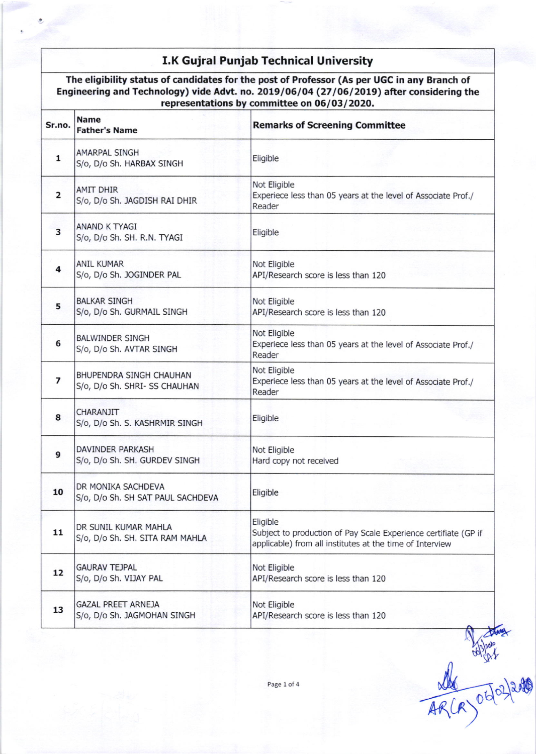## I.K Gujral Punjab Technical University

The eligibility status of candidates for the post of Professor (As per UGC in any Eranch of Engineering and Technology) vide Advt. no. 2019/06/04 (27/06/2019) after considering the representations by committee on 06/03/2020.

| Sr.no.                  | <b>Name</b><br><b>Father's Name</b>                      | <b>Remarks of Screening Committee</b>                                                                                                   |
|-------------------------|----------------------------------------------------------|-----------------------------------------------------------------------------------------------------------------------------------------|
| $\mathbf{1}$            | <b>AMARPAL SINGH</b><br>S/o, D/o Sh. HARBAX SINGH        | Eligible                                                                                                                                |
| 2                       | <b>AMIT DHIR</b><br>S/o, D/o Sh. JAGDISH RAI DHIR        | Not Eligible<br>Experiece less than 05 years at the level of Associate Prof./<br>Reader                                                 |
| 3                       | ANAND K TYAGI<br>S/o, D/o Sh. SH. R.N. TYAGI             | Eligible                                                                                                                                |
| 4                       | <b>ANIL KUMAR</b><br>S/o, D/o Sh. JOGINDER PAL           | Not Eligible<br>API/Research score is less than 120                                                                                     |
| 5                       | <b>BALKAR SINGH</b><br>S/o, D/o Sh. GURMAIL SINGH        | Not Eligible<br>API/Research score is less than 120                                                                                     |
| 6                       | <b>BALWINDER SINGH</b><br>S/o, D/o Sh. AVTAR SINGH       | Not Eligible<br>Experiece less than 05 years at the level of Associate Prof./<br>Reader                                                 |
| $\overline{\mathbf{z}}$ | BHUPENDRA SINGH CHAUHAN<br>S/o, D/o Sh. SHRI- SS CHAUHAN | Not Eligible<br>Experiece less than 05 years at the level of Associate Prof./<br>Reader                                                 |
| 8                       | CHARANJIT<br>S/o, D/o Sh. S. KASHRMIR SINGH              | Eligible                                                                                                                                |
| 9                       | <b>DAVINDER PARKASH</b><br>S/o, D/o Sh. SH. GURDEV SINGH | Not Eligible<br>Hard copy not received                                                                                                  |
| 10                      | DR MONIKA SACHDEVA<br>S/o, D/o Sh. SH SAT PAUL SACHDEVA  | Eligible                                                                                                                                |
| 11                      | DR SUNIL KUMAR MAHLA<br>S/o, D/o Sh. SH. SITA RAM MAHLA  | Eligible<br>Subject to production of Pay Scale Experience certifiate (GP if<br>applicable) from all institutes at the time of Interview |
| 12                      | <b>GAURAV TEJPAL</b><br>S/o, D/o Sh. VIJAY PAL           | Not Eligible<br>API/Research score is less than 120                                                                                     |
| 13                      | <b>GAZAL PREET ARNEJA</b><br>S/o, D/o Sh. JAGMOHAN SINGH | Not Eligible<br>API/Research score is less than 120                                                                                     |

Page 1 of 4

AR(R) 0402/2010